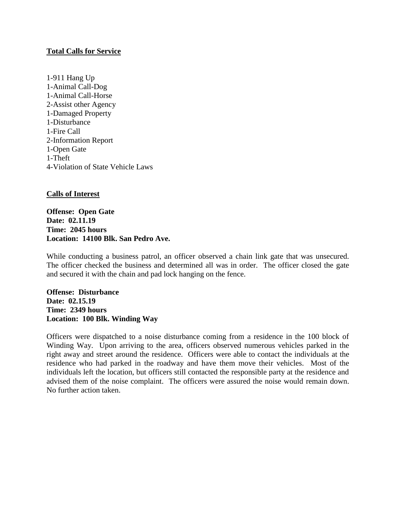## **Total Calls for Service**

1-911 Hang Up 1-Animal Call-Dog 1-Animal Call-Horse 2-Assist other Agency 1-Damaged Property 1-Disturbance 1-Fire Call 2-Information Report 1-Open Gate 1-Theft 4-Violation of State Vehicle Laws

## **Calls of Interest**

**Offense: Open Gate Date: 02.11.19 Time: 2045 hours Location: 14100 Blk. San Pedro Ave.**

While conducting a business patrol, an officer observed a chain link gate that was unsecured. The officer checked the business and determined all was in order. The officer closed the gate and secured it with the chain and pad lock hanging on the fence.

**Offense: Disturbance Date: 02.15.19 Time: 2349 hours Location: 100 Blk. Winding Way**

Officers were dispatched to a noise disturbance coming from a residence in the 100 block of Winding Way. Upon arriving to the area, officers observed numerous vehicles parked in the right away and street around the residence. Officers were able to contact the individuals at the residence who had parked in the roadway and have them move their vehicles. Most of the individuals left the location, but officers still contacted the responsible party at the residence and advised them of the noise complaint. The officers were assured the noise would remain down. No further action taken.